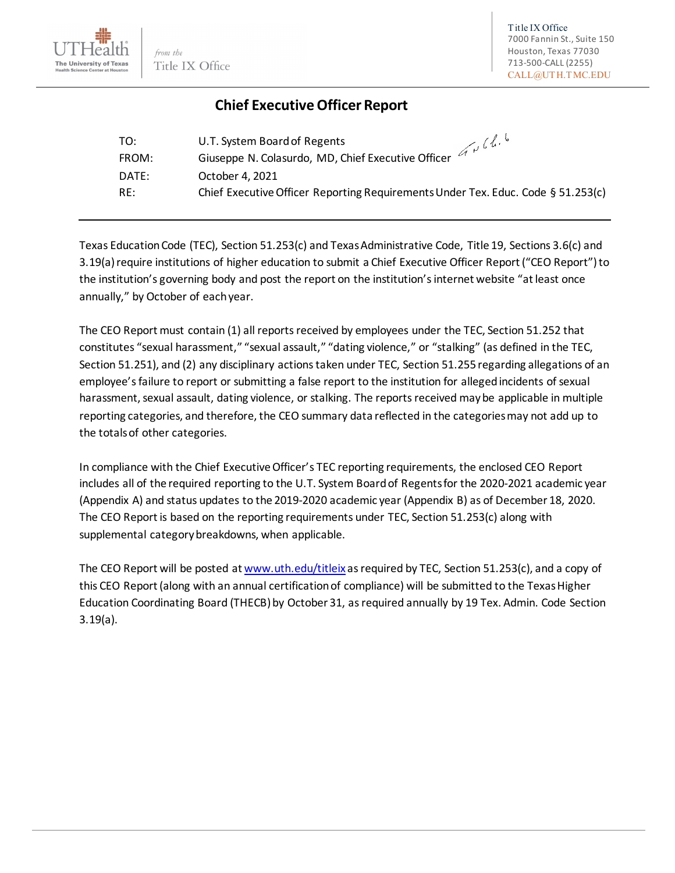

## **Chief Executive Officer Report**

| TO:   | Grille.<br>U.T. System Board of Regents                                          |
|-------|----------------------------------------------------------------------------------|
| FROM: | Giuseppe N. Colasurdo, MD, Chief Executive Officer                               |
| DATE: | October 4, 2021                                                                  |
| RE:   | Chief Executive Officer Reporting Requirements Under Tex. Educ. Code § 51.253(c) |

Texas Education Code (TEC), Section 51.253(c) and Texas Administrative Code, Title 19, Sections 3.6(c) and 3.19(a) require institutions of higher education to submit a Chief Executive Officer Report ("CEO Report") to the institution's governing body and post the report on the institution's internet website "at least once annually," by October of each year.

The CEO Report must contain (1) all reports received by employees under the TEC, Section 51.252 that constitutes "sexual harassment," "sexual assault," "dating violence," or "stalking" (as defined in the TEC, Section 51.251), and (2) any disciplinary actions taken under TEC, Section 51.255 regarding allegations of an employee's failure to report or submitting a false report to the institution for alleged incidents of sexual harassment, sexual assault, dating violence, or stalking. The reports received may be applicable in multiple reporting categories, and therefore, the CEO summary data reflected in the categories may not add up to the totals of other categories.

In compliance with the Chief Executive Officer's TEC reporting requirements, the enclosed CEO Report includes all of the required reporting to the U.T. System Board of Regents for the 2020-2021 academic year (Appendix A) and status updates to the 2019-2020 academic year (Appendix B) as of December 18, 2020. The CEO Report is based on the reporting requirements under TEC, Section 51.253(c) along with supplemental category breakdowns, when applicable.

The CEO Report will be posted a[t www.uth.edu/titleix](https://www.uth.edu/titleix/) as required by TEC, Section 51.253(c), and a copy of this CEO Report (along with an annual certification of compliance) will be submitted to the Texas Higher Education Coordinating Board (THECB)by October 31, as required annually by 19 Tex. Admin. Code Section 3.19(a).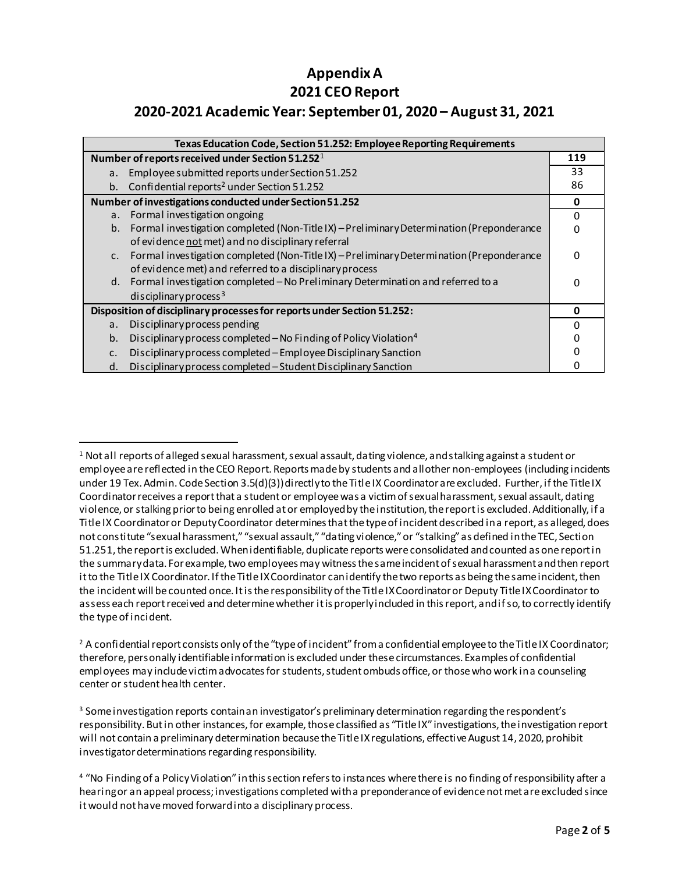## **Appendix A 2021 CEO Report 2020-2021 Academic Year: September 01, 2020 – August 31, 2021**

| Texas Education Code, Section 51.252: Employee Reporting Requirements                          |          |  |
|------------------------------------------------------------------------------------------------|----------|--|
| Number of reports received under Section 51.252 <sup>1</sup>                                   |          |  |
| Employee submitted reports under Section 51.252<br>а.                                          | 33       |  |
| b. Confidential reports <sup>2</sup> under Section 51.252                                      | 86       |  |
| Number of investigations conducted under Section 51.252                                        |          |  |
| Formal investigation ongoing<br>a.                                                             | 0        |  |
| Formal investigation completed (Non-Title IX) - Preliminary Determination (Preponderance<br>b. | 0        |  |
| of evidence not met) and no disciplinary referral                                              |          |  |
| Formal investigation completed (Non-Title IX) - Preliminary Determination (Preponderance<br>C. | $\Omega$ |  |
| of evidence met) and referred to a disciplinary process                                        |          |  |
| Formal investigation completed - No Preliminary Determination and referred to a<br>d.          | n        |  |
| disciplinary process <sup>3</sup>                                                              |          |  |
| Disposition of disciplinary processes for reports under Section 51.252:                        |          |  |
| Disciplinary process pending<br>а.                                                             | 0        |  |
| Disciplinary process completed - No Finding of Policy Violation <sup>4</sup><br>b.             |          |  |
| Disciplinary process completed - Employee Disciplinary Sanction<br>c.                          |          |  |
| Disciplinary process completed - Student Disciplinary Sanction<br>d.                           |          |  |

<span id="page-1-2"></span><sup>3</sup> Some investigation reports contain an investigator's preliminary determination regarding the respondent's responsibility. But in other instances, for example, those classified as "Title IX" investigations, the investigation report will not contain a preliminary determination because the Title IX regulations, effective August 14, 2020, prohibit investigator determinations regarding responsibility.

<span id="page-1-0"></span> <sup>1</sup> Not all reports of alleged sexual harassment, sexual assault, dating violence, and stalking against a student or employee are reflected in the CEO Report. Reports made by students and all other non-employees (including incidents under 19 Tex. Admin. Code Section 3.5(d)(3)) directly to the Title IX Coordinator are excluded. Further, if the Title IX Coordinator receives a report that a student or employee was a victim of sexual harassment, sexual assault, dating violence, or stalking prior to being enrolled at or employed by theinstitution, the report is excluded. Additionally, if a Title IX Coordinator or Deputy Coordinator determines that the type of incident described in a report, as alleged, does not constitute "sexual harassment," "sexual assault," "dating violence," or "stalking" as defined in the TEC, Section 51.251, the report is excluded. When identifiable, duplicate reports were consolidated and counted as one report in the summary data. For example, two employees may witness the same incident of sexual harassment and then report it to the Title IX Coordinator. If the Title IX Coordinator can identify the two reports as being the same incident, then the incident will be counted once. It is the responsibility of the Title IX Coordinator or Deputy Title IX Coordinator to assess each report received and determine whether it is properly included in this report, and if so, to correctly identify the type of incident.

<span id="page-1-1"></span> $2$  A confidential report consists only of the "type of incident" from a confidential employee to the Title IX Coordinator; therefore, personally identifiable information is excluded under these circumstances. Examples of confidential employees may include victim advocates for students, student ombuds office, or those who work in a counseling center or student health center.

<span id="page-1-3"></span><sup>&</sup>lt;sup>4</sup> "No Finding of a Policy Violation" in this section refers to instances where there is no finding of responsibility after a hearing or an appeal process; investigations completed with a preponderance of evidence not met are excluded since it would not have moved forward into a disciplinary process.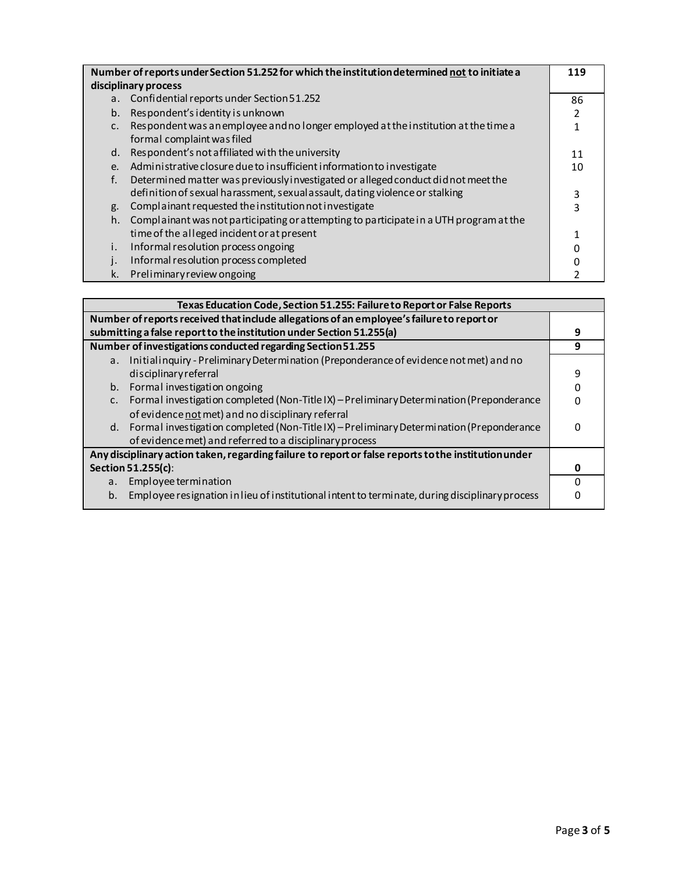| Number of reports under Section 51.252 for which the institution determined not to initiate a |                                                                                        | 119 |
|-----------------------------------------------------------------------------------------------|----------------------------------------------------------------------------------------|-----|
| disciplinary process                                                                          |                                                                                        |     |
|                                                                                               | a. Confidential reports under Section 51.252                                           | 86  |
| $b_{\cdot}$                                                                                   | Respondent's identity is unknown                                                       | 2   |
| $\mathsf{C}$ .                                                                                | Respondent was an employee and no longer employed at the institution at the time a     | 1   |
|                                                                                               | formal complaint was filed                                                             |     |
| d.                                                                                            | Respondent's not affiliated with the university                                        | 11  |
| $e_{i}$                                                                                       | Administrative closure due to insufficient information to investigate                  | 10  |
| f.                                                                                            | Determined matter was previously investigated or alleged conduct did not meet the      |     |
|                                                                                               | definition of sexual harassment, sexual assault, dating violence or stalking           | 3   |
| g.                                                                                            | Complainant requested the institution not investigate                                  | 3   |
| h.                                                                                            | Complainant was not participating or attempting to participate in a UTH program at the |     |
|                                                                                               | time of the alleged incident or at present                                             | 1   |
| i.                                                                                            | Informal resolution process ongoing                                                    | 0   |
|                                                                                               | Informal resolution process completed                                                  |     |
| k.                                                                                            | Preliminary review ongoing                                                             |     |

| Texas Education Code, Section 51.255: Failure to Report or False Reports                             |   |  |
|------------------------------------------------------------------------------------------------------|---|--|
| Number of reports received that include allegations of an employee's failure to report or            |   |  |
| submitting a false report to the institution under Section 51.255(a)                                 |   |  |
| Number of investigations conducted regarding Section 51.255                                          |   |  |
| Initialinquiry - Preliminary Determination (Preponderance of evidence not met) and no<br>a.          |   |  |
| disciplinary referral                                                                                | 9 |  |
| b. Formal investigation ongoing                                                                      |   |  |
| Formal investigation completed (Non-Title IX) - Preliminary Determination (Preponderance<br>c.       |   |  |
| of evidence not met) and no disciplinary referral                                                    |   |  |
| d. Formal investigation completed (Non-Title IX) - Preliminary Determination (Preponderance          | O |  |
| of evidence met) and referred to a disciplinary process                                              |   |  |
| Any disciplinary action taken, regarding failure to report or false reports to the institution under |   |  |
| Section 51.255(c):                                                                                   |   |  |
| Employee termination<br>a.                                                                           |   |  |
| Employee resignation in lieu of institutional intent to terminate, during disciplinary process<br>b. |   |  |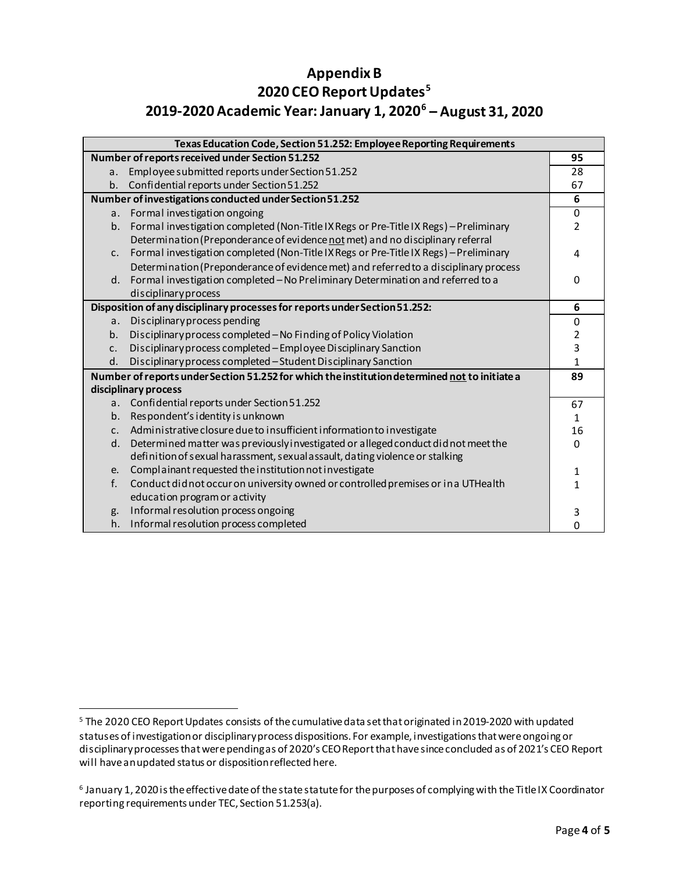## **Appendix B 2020 CEO ReportUpdates[5](#page-3-0) 2019-2020 Academic Year: January 1, 2020[6](#page-3-1) – August 31, 2020**

| Texas Education Code, Section 51.252: Employee Reporting Requirements                         |                                                                                       |                |
|-----------------------------------------------------------------------------------------------|---------------------------------------------------------------------------------------|----------------|
| Number of reports received under Section 51.252                                               |                                                                                       | 95             |
| a <sub>r</sub>                                                                                | Employee submitted reports under Section 51.252                                       | 28             |
| b.                                                                                            | Confidential reports under Section 51.252                                             | 67             |
| Number of investigations conducted under Section 51.252                                       |                                                                                       | 6              |
|                                                                                               | a. Formal investigation ongoing                                                       | 0              |
| b.                                                                                            | Formal investigation completed (Non-Title IX Regs or Pre-Title IX Regs) - Preliminary | $\overline{2}$ |
|                                                                                               | Determination (Preponderance of evidence not met) and no disciplinary referral        |                |
| C <sub>1</sub>                                                                                | Formal investigation completed (Non-Title IX Regs or Pre-Title IX Regs) - Preliminary | 4              |
|                                                                                               | Determination (Preponderance of evidence met) and referred to a disciplinary process  |                |
| d.                                                                                            | Formal investigation completed - No Preliminary Determination and referred to a       | $\Omega$       |
|                                                                                               | disciplinary process                                                                  |                |
|                                                                                               | Disposition of any disciplinary processes for reports under Section 51.252:           | 6              |
| a <sub>r</sub>                                                                                | Disciplinary process pending                                                          | 0              |
| b.                                                                                            | Disciplinary process completed - No Finding of Policy Violation                       | 2              |
| C <sub>1</sub>                                                                                | Disciplinary process completed - Employee Disciplinary Sanction                       | 3              |
| d.                                                                                            | Disciplinary process completed - Student Disciplinary Sanction                        | $\mathbf{1}$   |
| Number of reports under Section 51.252 for which the institution determined not to initiate a |                                                                                       | 89             |
| disciplinary process                                                                          |                                                                                       |                |
| a.                                                                                            | Confidential reports under Section 51.252                                             | 67             |
| b.                                                                                            | Respondent's identity is unknown                                                      | $\mathbf{1}$   |
| C <sub>1</sub>                                                                                | Administrative closure due to insufficient information to investigate                 | 16             |
| d.                                                                                            | Determined matter was previously investigated or alleged conduct did not meet the     | $\Omega$       |
|                                                                                               | definition of sexual harassment, sexual assault, dating violence or stalking          |                |
| e.                                                                                            | Complainant requested the institution not investigate                                 | 1              |
| f.                                                                                            | Conduct didnot occur on university owned or controlled premises or in a UTHealth      | $\mathbf{1}$   |
|                                                                                               | education program or activity                                                         |                |
| g.                                                                                            | Informal resolution process ongoing                                                   | 3              |
| h.                                                                                            | Informal resolution process completed                                                 | O              |

<span id="page-3-0"></span><sup>&</sup>lt;sup>5</sup> The 2020 CEO Report Updates consists of the cumulative data set that originated in 2019-2020 with updated statuses of investigation or disciplinary process dispositions. For example, investigations that were ongoing or disciplinary processes that were pending as of 2020's CEO Reportthat have since concluded as of 2021's CEO Report will have an updated status or disposition reflected here.

<span id="page-3-1"></span><sup>6</sup> January 1, 2020 is the effective date of the state statute for the purposes of complying with the Title IX Coordinator reporting requirements under TEC, Section 51.253(a).